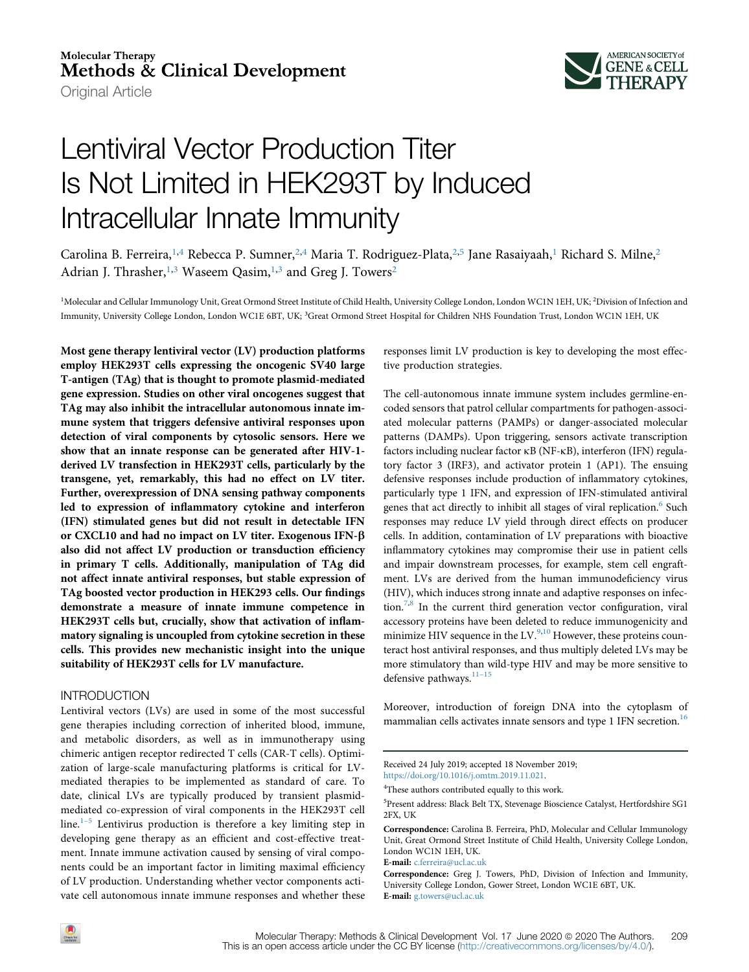# **Molecular Therapy** Methods & Clinical Development

Original Article



# Lentiviral Vector Production Titer Is Not Limited in HEK293T by Induced Intracellular Innate Immunity

Carolina B. Ferreira,<sup>[1,](#page-0-0)4</sup> Rebecca P. Sumner,<sup>[2,](#page-0-0)4</sup> Maria T. Rodriguez-Plata,<sup>2,5</sup> Jane Rasaiyaah,<sup>[1](#page-0-0)</sup> Richard S. Milne,<sup>[2](#page-0-0)</sup> Adrian J. Thrasher,<sup>[1,](#page-0-0)[3](#page-0-1)</sup> Waseem Qasim,<sup>1,3</sup> and Greg J. Towers<sup>[2](#page-0-0)</sup>

<span id="page-0-1"></span><span id="page-0-0"></span><sup>1</sup>Molecular and Cellular Immunology Unit, Great Ormond Street Institute of Child Health, University College London, London WC1N 1EH, UK; <sup>2</sup>Division of Infection and Immunity, University College London, London WC1E 6BT, UK; 3Great Ormond Street Hospital for Children NHS Foundation Trust, London WC1N 1EH, UK

Most gene therapy lentiviral vector (LV) production platforms employ HEK293T cells expressing the oncogenic SV40 large T-antigen (TAg) that is thought to promote plasmid-mediated gene expression. Studies on other viral oncogenes suggest that TAg may also inhibit the intracellular autonomous innate immune system that triggers defensive antiviral responses upon detection of viral components by cytosolic sensors. Here we show that an innate response can be generated after HIV-1 derived LV transfection in HEK293T cells, particularly by the transgene, yet, remarkably, this had no effect on LV titer. Further, overexpression of DNA sensing pathway components led to expression of inflammatory cytokine and interferon (IFN) stimulated genes but did not result in detectable IFN or CXCL10 and had no impact on LV titer. Exogenous IFN-b also did not affect LV production or transduction efficiency in primary T cells. Additionally, manipulation of TAg did not affect innate antiviral responses, but stable expression of TAg boosted vector production in HEK293 cells. Our findings demonstrate a measure of innate immune competence in HEK293T cells but, crucially, show that activation of inflammatory signaling is uncoupled from cytokine secretion in these cells. This provides new mechanistic insight into the unique suitability of HEK293T cells for LV manufacture.

# INTRODUCTION

Lentiviral vectors (LVs) are used in some of the most successful gene therapies including correction of inherited blood, immune, and metabolic disorders, as well as in immunotherapy using chimeric antigen receptor redirected T cells (CAR-T cells). Optimization of large-scale manufacturing platforms is critical for LVmediated therapies to be implemented as standard of care. To date, clinical LVs are typically produced by transient plasmidmediated co-expression of viral components in the HEK293T cell line. $1-5$  Lentivirus production is therefore a key limiting step in developing gene therapy as an efficient and cost-effective treatment. Innate immune activation caused by sensing of viral components could be an important factor in limiting maximal efficiency of LV production. Understanding whether vector components activate cell autonomous innate immune responses and whether these

responses limit LV production is key to developing the most effective production strategies.

The cell-autonomous innate immune system includes germline-encoded sensors that patrol cellular compartments for pathogen-associated molecular patterns (PAMPs) or danger-associated molecular patterns (DAMPs). Upon triggering, sensors activate transcription factors including nuclear factor kB (NF-kB), interferon (IFN) regulatory factor 3 (IRF3), and activator protein 1 (AP1). The ensuing defensive responses include production of inflammatory cytokines, particularly type 1 IFN, and expression of IFN-stimulated antiviral genes that act directly to inhibit all stages of viral replication.<sup>[6](#page-9-1)</sup> Such responses may reduce LV yield through direct effects on producer cells. In addition, contamination of LV preparations with bioactive inflammatory cytokines may compromise their use in patient cells and impair downstream processes, for example, stem cell engraftment. LVs are derived from the human immunodeficiency virus (HIV), which induces strong innate and adaptive responses on infec-tion.<sup>[7](#page-9-2),[8](#page-9-3)</sup> In the current third generation vector configuration, viral accessory proteins have been deleted to reduce immunogenicity and minimize HIV sequence in the  $LV^{9,10}$  $LV^{9,10}$  $LV^{9,10}$  $LV^{9,10}$  However, these proteins counteract host antiviral responses, and thus multiply deleted LVs may be more stimulatory than wild-type HIV and may be more sensitive to defensive pathways.<sup>[11](#page-9-6)-15</sup>

Moreover, introduction of foreign DNA into the cytoplasm of mammalian cells activates innate sensors and type 1 IFN secretion.<sup>[16](#page-10-0)</sup>

E-mail: [c.ferreira@ucl.ac.uk](mailto:c.ferreira@ucl.ac.uk)



Received 24 July 2019; accepted 18 November 2019; <https://doi.org/10.1016/j.omtm.2019.11.021>.

<sup>&</sup>lt;sup>4</sup>These authors contributed equally to this work.

<sup>5</sup> Present address: Black Belt TX, Stevenage Bioscience Catalyst, Hertfordshire SG1 2FX, UK

Correspondence: Carolina B. Ferreira, PhD, Molecular and Cellular Immunology Unit, Great Ormond Street Institute of Child Health, University College London, London WC1N 1EH, UK.

Correspondence: Greg J. Towers, PhD, Division of Infection and Immunity, University College London, Gower Street, London WC1E 6BT, UK. E-mail: [g.towers@ucl.ac.uk](mailto:g.towers@ucl.ac.uk)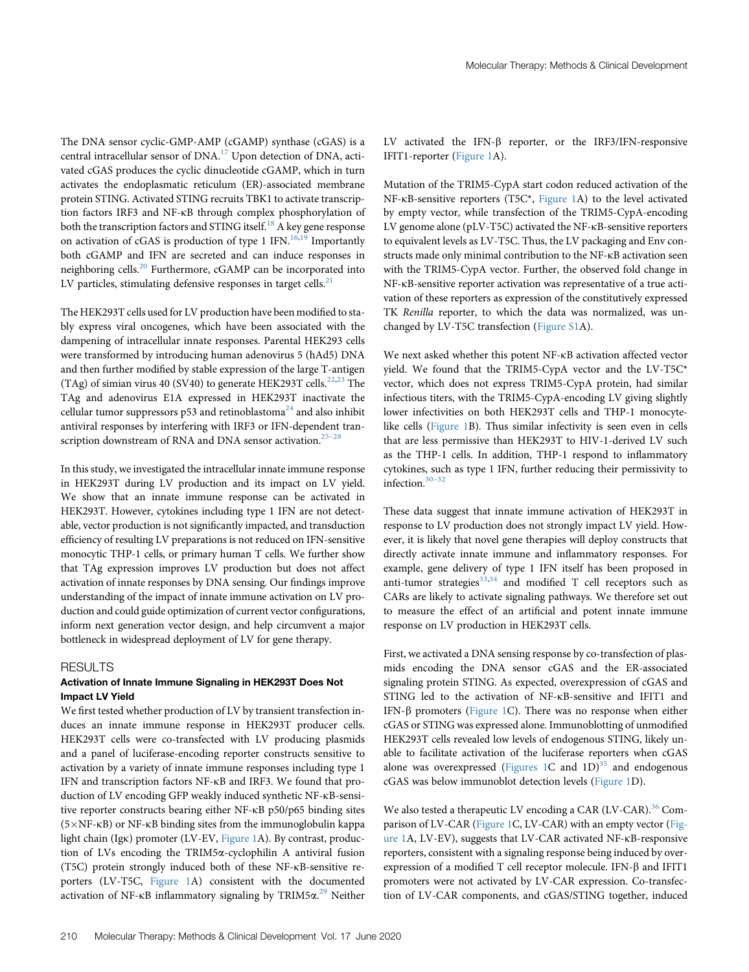The DNA sensor cyclic-GMP-AMP (cGAMP) synthase (cGAS) is a central intracellular sensor of DNA.<sup>[17](#page-10-1)</sup> Upon detection of DNA, activated cGAS produces the cyclic dinucleotide cGAMP, which in turn activates the endoplasmatic reticulum (ER)-associated membrane protein STING. Activated STING recruits TBK1 to activate transcription factors IRF3 and NF-kB through complex phosphorylation of both the transcription factors and STING itself.<sup>[18](#page-10-2)</sup> A key gene response on activation of cGAS is production of type 1 IFN.<sup>[16](#page-10-0),[19](#page-10-3)</sup> Importantly both cGAMP and IFN are secreted and can induce responses in neighboring cells.<sup>[20](#page-10-4)</sup> Furthermore, cGAMP can be incorporated into LV particles, stimulating defensive responses in target cells. $21$ 

The HEK293T cells used for LV production have been modified to stably express viral oncogenes, which have been associated with the dampening of intracellular innate responses. Parental HEK293 cells were transformed by introducing human adenovirus 5 (hAd5) DNA and then further modified by stable expression of the large T-antigen (TAg) of simian virus 40 (SV40) to generate HEK293T cells.<sup>[22](#page-10-6)[,23](#page-10-7)</sup> The TAg and adenovirus E1A expressed in HEK293T inactivate the cellular tumor suppressors  $p53$  and retinoblastoma<sup>[24](#page-10-8)</sup> and also inhibit antiviral responses by interfering with IRF3 or IFN-dependent tran-scription downstream of RNA and DNA sensor activation.<sup>25–[28](#page-10-9)</sup>

In this study, we investigated the intracellular innate immune response in HEK293T during LV production and its impact on LV yield. We show that an innate immune response can be activated in HEK293T. However, cytokines including type 1 IFN are not detectable, vector production is not significantly impacted, and transduction efficiency of resulting LV preparations is not reduced on IFN-sensitive monocytic THP-1 cells, or primary human T cells. We further show that TAg expression improves LV production but does not affect activation of innate responses by DNA sensing. Our findings improve understanding of the impact of innate immune activation on LV production and could guide optimization of current vector configurations, inform next generation vector design, and help circumvent a major bottleneck in widespread deployment of LV for gene therapy.

# **RESULTS**

## Activation of Innate Immune Signaling in HEK293T Does Not Impact LV Yield

We first tested whether production of LV by transient transfection induces an innate immune response in HEK293T producer cells. HEK293T cells were co-transfected with LV producing plasmids and a panel of luciferase-encoding reporter constructs sensitive to activation by a variety of innate immune responses including type 1 IFN and transcription factors NF-kB and IRF3. We found that production of LV encoding GFP weakly induced synthetic NF-kB-sensitive reporter constructs bearing either NF-kB p50/p65 binding sites  $(5\times$ NF- $\kappa$ B) or NF- $\kappa$ B binding sites from the immunoglobulin kappa light chain (Igk) promoter (LV-EV, [Figure 1](#page-2-0)A). By contrast, production of LVs encoding the TRIM5a-cyclophilin A antiviral fusion (T5C) protein strongly induced both of these NF-kB-sensitive reporters (LV-T5C, [Figure 1A](#page-2-0)) consistent with the documented activation of NF-kB inflammatory signaling by TRIM5 $\alpha^{29}$  $\alpha^{29}$  $\alpha^{29}$  Neither

LV activated the IFN- $\beta$  reporter, or the IRF3/IFN-responsive IFIT1-reporter [\(Figure 1A](#page-2-0)).

Mutation of the TRIM5-CypA start codon reduced activation of the NF-kB-sensitive reporters (T5C\*, [Figure 1A](#page-2-0)) to the level activated by empty vector, while transfection of the TRIM5-CypA-encoding LV genome alone (pLV-T5C) activated the NF-kB-sensitive reporters to equivalent levels as LV-T5C. Thus, the LV packaging and Env constructs made only minimal contribution to the NF-kB activation seen with the TRIM5-CypA vector. Further, the observed fold change in NF-kB-sensitive reporter activation was representative of a true activation of these reporters as expression of the constitutively expressed TK Renilla reporter, to which the data was normalized, was unchanged by LV-T5C transfection ([Figure S1A](#page-9-7)).

We next asked whether this potent NF-kB activation affected vector yield. We found that the TRIM5-CypA vector and the LV-T5C\* vector, which does not express TRIM5-CypA protein, had similar infectious titers, with the TRIM5-CypA-encoding LV giving slightly lower infectivities on both HEK293T cells and THP-1 monocytelike cells ([Figure 1](#page-2-0)B). Thus similar infectivity is seen even in cells that are less permissive than HEK293T to HIV-1-derived LV such as the THP-1 cells. In addition, THP-1 respond to inflammatory cytokines, such as type 1 IFN, further reducing their permissivity to infection.30–[32](#page-10-11)

These data suggest that innate immune activation of HEK293T in response to LV production does not strongly impact LV yield. However, it is likely that novel gene therapies will deploy constructs that directly activate innate immune and inflammatory responses. For example, gene delivery of type 1 IFN itself has been proposed in anti-tumor strategies $33,34$  $33,34$  and modified T cell receptors such as CARs are likely to activate signaling pathways. We therefore set out to measure the effect of an artificial and potent innate immune response on LV production in HEK293T cells.

First, we activated a DNA sensing response by co-transfection of plasmids encoding the DNA sensor cGAS and the ER-associated signaling protein STING. As expected, overexpression of cGAS and STING led to the activation of NF-KB-sensitive and IFIT1 and IFN- $\beta$  promoters [\(Figure 1C](#page-2-0)). There was no response when either cGAS or STING was expressed alone. Immunoblotting of unmodified HEK293T cells revealed low levels of endogenous STING, likely unable to facilitate activation of the luciferase reporters when cGAS alone was overexpressed [\(Figures 1](#page-2-0)C and  $1D$ )<sup>[35](#page-10-14)</sup> and endogenous cGAS was below immunoblot detection levels ([Figure 1](#page-2-0)D).

We also tested a therapeutic LV encoding a CAR (LV-CAR).<sup>[36](#page-10-15)</sup> Com-parison of LV-CAR ([Figure 1C](#page-2-0), LV-CAR) with an empty vector ([Fig](#page-2-0)[ure 1A](#page-2-0), LV-EV), suggests that LV-CAR activated NF-kB-responsive reporters, consistent with a signaling response being induced by overexpression of a modified  $T$  cell receptor molecule. IFN- $\beta$  and IFIT1 promoters were not activated by LV-CAR expression. Co-transfection of LV-CAR components, and cGAS/STING together, induced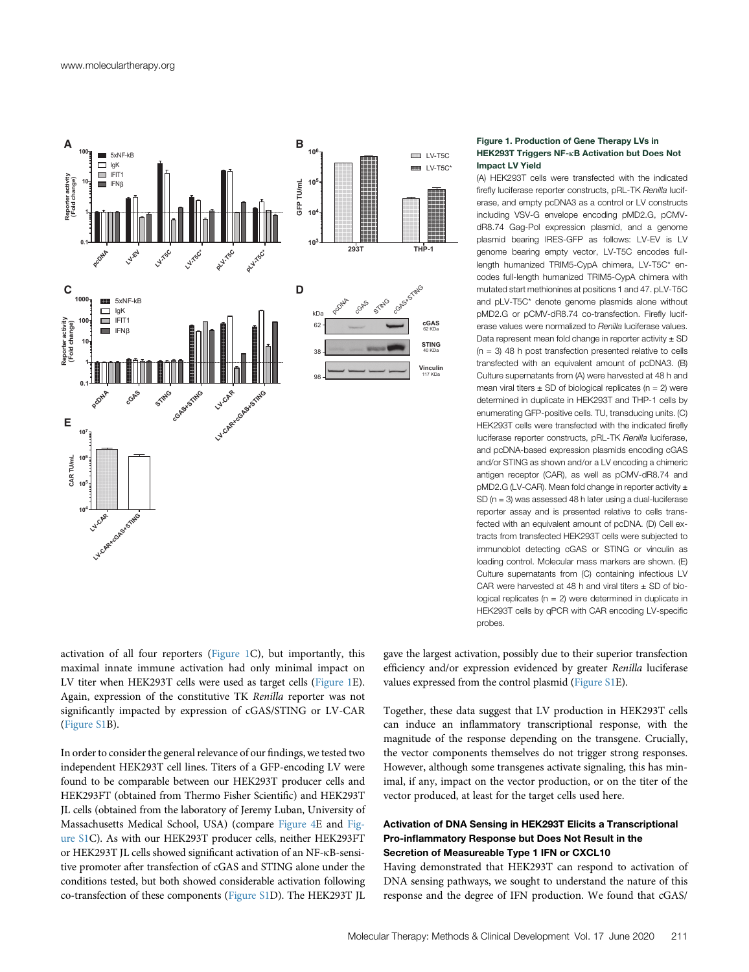<span id="page-2-0"></span>

## Figure 1. Production of Gene Therapy LVs in HEK293T Triggers NF-kB Activation but Does Not Impact LV Yield

(A) HEK293T cells were transfected with the indicated firefly luciferase reporter constructs, pRL-TK Renilla luciferase, and empty pcDNA3 as a control or LV constructs including VSV-G envelope encoding pMD2.G, pCMVdR8.74 Gag-Pol expression plasmid, and a genome plasmid bearing IRES-GFP as follows: LV-EV is LV genome bearing empty vector, LV-T5C encodes fulllength humanized TRIM5-CypA chimera, LV-T5C\* encodes full-length humanized TRIM5-CypA chimera with mutated start methionines at positions 1 and 47. pLV-T5C and pLV-T5C\* denote genome plasmids alone without pMD2.G or pCMV-dR8.74 co-transfection. Firefly luciferase values were normalized to Renilla luciferase values. Data represent mean fold change in reporter activity  $\pm$  SD  $(n = 3)$  48 h post transfection presented relative to cells transfected with an equivalent amount of pcDNA3. (B) Culture supernatants from (A) were harvested at 48 h and mean viral titers  $\pm$  SD of biological replicates (n = 2) were determined in duplicate in HEK293T and THP-1 cells by enumerating GFP-positive cells. TU, transducing units. (C) HEK293T cells were transfected with the indicated firefly luciferase reporter constructs, pRL-TK Renilla luciferase, and pcDNA-based expression plasmids encoding cGAS and/or STING as shown and/or a LV encoding a chimeric antigen receptor (CAR), as well as pCMV-dR8.74 and pMD2.G (LV-CAR). Mean fold change in reporter activity ± SD (n = 3) was assessed 48 h later using a dual-luciferase reporter assay and is presented relative to cells transfected with an equivalent amount of pcDNA. (D) Cell extracts from transfected HEK293T cells were subjected to immunoblot detecting cGAS or STING or vinculin as loading control. Molecular mass markers are shown. (E) Culture supernatants from (C) containing infectious LV CAR were harvested at 48 h and viral titers  $\pm$  SD of biological replicates ( $n = 2$ ) were determined in duplicate in HEK293T cells by qPCR with CAR encoding LV-specific probes.

activation of all four reporters [\(Figure 1](#page-2-0)C), but importantly, this maximal innate immune activation had only minimal impact on LV titer when HEK293T cells were used as target cells ([Figure 1E](#page-2-0)). Again, expression of the constitutive TK Renilla reporter was not significantly impacted by expression of cGAS/STING or LV-CAR ([Figure S1B](#page-9-7)).

In order to consider the general relevance of our findings, we tested two independent HEK293T cell lines. Titers of a GFP-encoding LV were found to be comparable between our HEK293T producer cells and HEK293FT (obtained from Thermo Fisher Scientific) and HEK293T JL cells (obtained from the laboratory of Jeremy Luban, University of Massachusetts Medical School, USA) (compare [Figure 4](#page-5-0)E and [Fig](#page-9-7)[ure S1C](#page-9-7)). As with our HEK293T producer cells, neither HEK293FT or HEK293T JL cells showed significant activation of an NF-kB-sensitive promoter after transfection of cGAS and STING alone under the conditions tested, but both showed considerable activation following co-transfection of these components ([Figure S1](#page-9-7)D). The HEK293T JL gave the largest activation, possibly due to their superior transfection efficiency and/or expression evidenced by greater Renilla luciferase values expressed from the control plasmid ([Figure S1E](#page-9-7)).

Together, these data suggest that LV production in HEK293T cells can induce an inflammatory transcriptional response, with the magnitude of the response depending on the transgene. Crucially, the vector components themselves do not trigger strong responses. However, although some transgenes activate signaling, this has minimal, if any, impact on the vector production, or on the titer of the vector produced, at least for the target cells used here.

# Activation of DNA Sensing in HEK293T Elicits a Transcriptional Pro-inflammatory Response but Does Not Result in the Secretion of Measureable Type 1 IFN or CXCL10

Having demonstrated that HEK293T can respond to activation of DNA sensing pathways, we sought to understand the nature of this response and the degree of IFN production. We found that cGAS/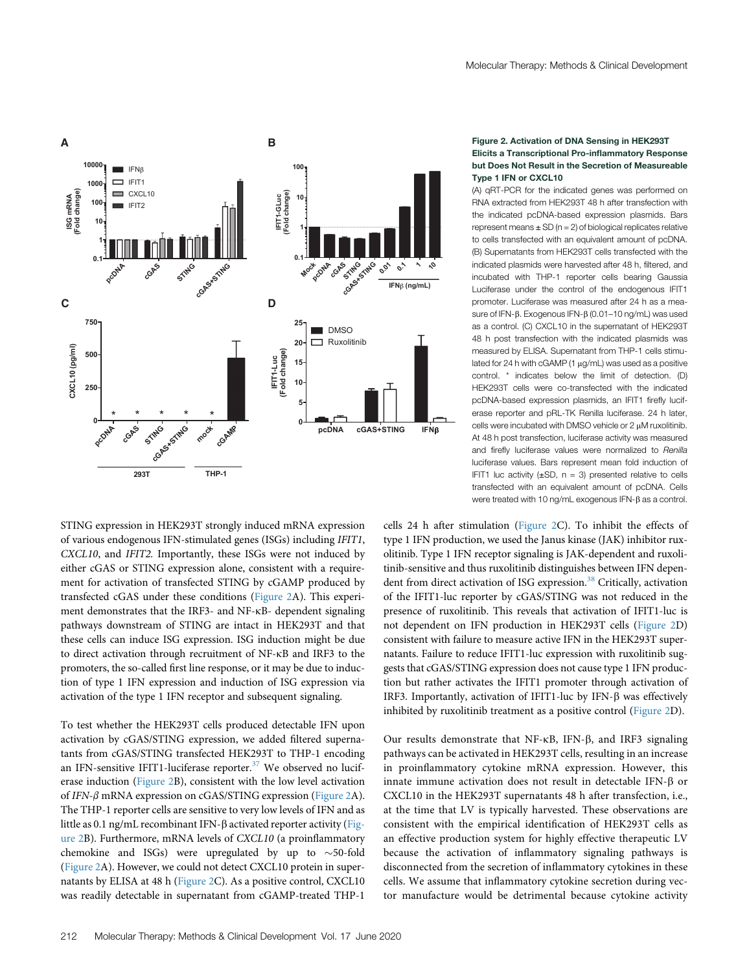<span id="page-3-0"></span>

## Figure 2. Activation of DNA Sensing in HEK293T Elicits a Transcriptional Pro-inflammatory Response but Does Not Result in the Secretion of Measureable Type 1 IFN or CXCL10

(A) qRT-PCR for the indicated genes was performed on RNA extracted from HEK293T 48 h after transfection with the indicated pcDNA-based expression plasmids. Bars represent means  $\pm$  SD (n = 2) of biological replicates relative to cells transfected with an equivalent amount of pcDNA. (B) Supernatants from HEK293T cells transfected with the indicated plasmids were harvested after 48 h, filtered, and incubated with THP-1 reporter cells bearing Gaussia Luciferase under the control of the endogenous IFIT1 promoter. Luciferase was measured after 24 h as a measure of IFN- $\beta$ . Exogenous IFN- $\beta$  (0.01–10 ng/mL) was used as a control. (C) CXCL10 in the supernatant of HEK293T 48 h post transfection with the indicated plasmids was measured by ELISA. Supernatant from THP-1 cells stimulated for 24 h with cGAMP (1 ug/mL) was used as a positive control. \* indicates below the limit of detection. (D) HEK293T cells were co-transfected with the indicated pcDNA-based expression plasmids, an IFIT1 firefly luciferase reporter and pRL-TK Renilla luciferase. 24 h later, cells were incubated with DMSO vehicle or 2 uM ruxolitinib. At 48 h post transfection, luciferase activity was measured and firefly luciferase values were normalized to Renilla luciferase values. Bars represent mean fold induction of IFIT1 luc activity  $(\pm SD, n = 3)$  presented relative to cells transfected with an equivalent amount of pcDNA. Cells were treated with 10 ng/mL exogenous  $IFN-\beta$  as a control.

STING expression in HEK293T strongly induced mRNA expression of various endogenous IFN-stimulated genes (ISGs) including IFIT1, CXCL10, and IFIT2. Importantly, these ISGs were not induced by either cGAS or STING expression alone, consistent with a requirement for activation of transfected STING by cGAMP produced by transfected cGAS under these conditions ([Figure 2](#page-3-0)A). This experiment demonstrates that the IRF3- and NF-kB- dependent signaling pathways downstream of STING are intact in HEK293T and that these cells can induce ISG expression. ISG induction might be due to direct activation through recruitment of NF-kB and IRF3 to the promoters, the so-called first line response, or it may be due to induction of type 1 IFN expression and induction of ISG expression via activation of the type 1 IFN receptor and subsequent signaling.

To test whether the HEK293T cells produced detectable IFN upon activation by cGAS/STING expression, we added filtered supernatants from cGAS/STING transfected HEK293T to THP-1 encoding an IFN-sensitive IFIT1-luciferase reporter. $37$  We observed no luciferase induction [\(Figure 2B](#page-3-0)), consistent with the low level activation of IFN-β mRNA expression on cGAS/STING expression ([Figure 2A](#page-3-0)). The THP-1 reporter cells are sensitive to very low levels of IFN and as little as 0.1 ng/mL recombinant IFN-β activated reporter activity ([Fig](#page-3-0)[ure 2](#page-3-0)B). Furthermore, mRNA levels of CXCL10 (a proinflammatory chemokine and ISGs) were upregulated by up to  $\sim$  50-fold ([Figure 2](#page-3-0)A). However, we could not detect CXCL10 protein in supernatants by ELISA at 48 h [\(Figure 2](#page-3-0)C). As a positive control, CXCL10 was readily detectable in supernatant from cGAMP-treated THP-1

cells 24 h after stimulation ([Figure 2C](#page-3-0)). To inhibit the effects of type 1 IFN production, we used the Janus kinase (JAK) inhibitor ruxolitinib. Type 1 IFN receptor signaling is JAK-dependent and ruxolitinib-sensitive and thus ruxolitinib distinguishes between IFN depen-dent from direct activation of ISG expression.<sup>[38](#page-10-17)</sup> Critically, activation of the IFIT1-luc reporter by cGAS/STING was not reduced in the presence of ruxolitinib. This reveals that activation of IFIT1-luc is not dependent on IFN production in HEK293T cells ([Figure 2](#page-3-0)D) consistent with failure to measure active IFN in the HEK293T supernatants. Failure to reduce IFIT1-luc expression with ruxolitinib suggests that cGAS/STING expression does not cause type 1 IFN production but rather activates the IFIT1 promoter through activation of IRF3. Importantly, activation of IFIT1-luc by IFN- $\beta$  was effectively inhibited by ruxolitinib treatment as a positive control [\(Figure 2D](#page-3-0)).

Our results demonstrate that NF- $\kappa$ B, IFN- $\beta$ , and IRF3 signaling pathways can be activated in HEK293T cells, resulting in an increase in proinflammatory cytokine mRNA expression. However, this innate immune activation does not result in detectable IFN- $\beta$  or CXCL10 in the HEK293T supernatants 48 h after transfection, i.e., at the time that LV is typically harvested. These observations are consistent with the empirical identification of HEK293T cells as an effective production system for highly effective therapeutic LV because the activation of inflammatory signaling pathways is disconnected from the secretion of inflammatory cytokines in these cells. We assume that inflammatory cytokine secretion during vector manufacture would be detrimental because cytokine activity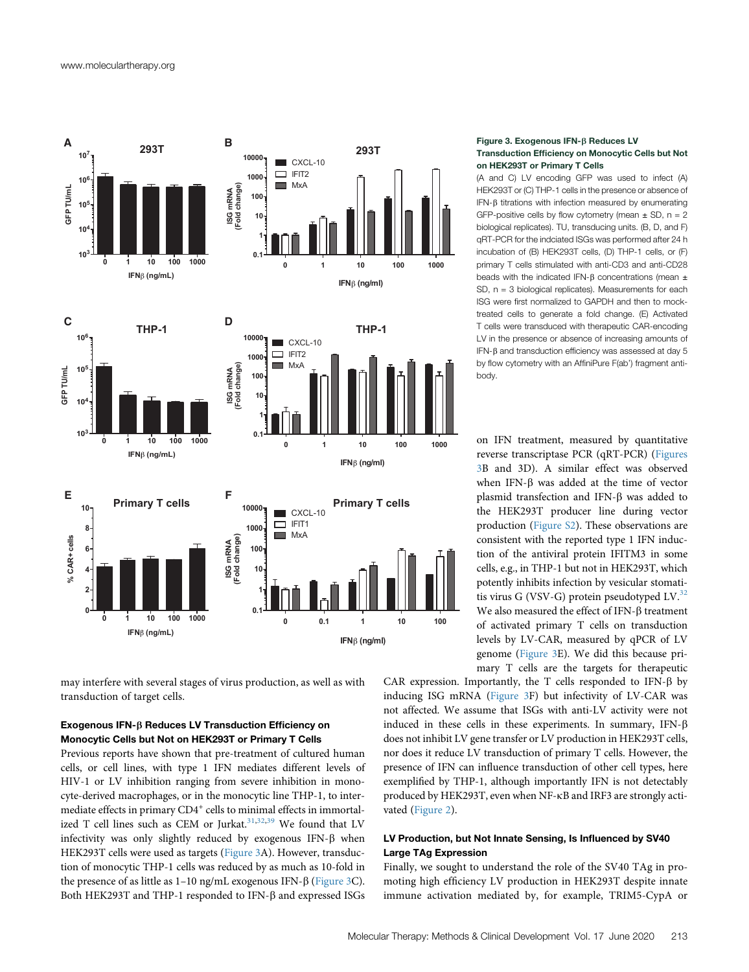<span id="page-4-0"></span>

may interfere with several stages of virus production, as well as with transduction of target cells.

# Exogenous IFN-b Reduces LV Transduction Efficiency on Monocytic Cells but Not on HEK293T or Primary T Cells

Previous reports have shown that pre-treatment of cultured human cells, or cell lines, with type 1 IFN mediates different levels of HIV-1 or LV inhibition ranging from severe inhibition in monocyte-derived macrophages, or in the monocytic line THP-1, to intermediate effects in primary CD4<sup>+</sup> cells to minimal effects in immortal-ized T cell lines such as CEM or Jurkat.<sup>[31](#page-10-18),[32](#page-10-19),[39](#page-10-20)</sup> We found that LV infectivity was only slightly reduced by exogenous IFN- $\beta$  when HEK293T cells were used as targets ([Figure 3A](#page-4-0)). However, transduction of monocytic THP-1 cells was reduced by as much as 10-fold in the presence of as little as  $1-10$  ng/mL exogenous IFN- $\beta$  ([Figure 3](#page-4-0)C). Both HEK293T and THP-1 responded to IFN- $\beta$  and expressed ISGs

### Figure 3. Exogenous IFN- $\beta$  Reduces LV Transduction Efficiency on Monocytic Cells but Not on HEK293T or Primary T Cells

(A and C) LV encoding GFP was used to infect (A) HEK293T or (C) THP-1 cells in the presence or absence of IFN-b titrations with infection measured by enumerating GFP-positive cells by flow cytometry (mean  $\pm$  SD, n = 2 biological replicates). TU, transducing units. (B, D, and F) qRT-PCR for the indciated ISGs was performed after 24 h incubation of (B) HEK293T cells, (D) THP-1 cells, or (F) primary T cells stimulated with anti-CD3 and anti-CD28 beads with the indicated IFN- $\beta$  concentrations (mean  $\pm$ SD,  $n = 3$  biological replicates). Measurements for each ISG were first normalized to GAPDH and then to mocktreated cells to generate a fold change. (E) Activated T cells were transduced with therapeutic CAR-encoding LV in the presence or absence of increasing amounts of IFN-b and transduction efficiency was assessed at day 5 by flow cytometry with an AffiniPure F(ab') fragment antibody.

on IFN treatment, measured by quantitative reverse transcriptase PCR (qRT-PCR) ([Figures](#page-4-0) [3](#page-4-0)B and 3D). A similar effect was observed when IFN- $\beta$  was added at the time of vector plasmid transfection and IFN- $\beta$  was added to the HEK293T producer line during vector production ([Figure S2\)](#page-9-7). These observations are consistent with the reported type 1 IFN induction of the antiviral protein IFITM3 in some cells, e.g., in THP-1 but not in HEK293T, which potently inhibits infection by vesicular stomatitis virus G (VSV-G) protein pseudotyped  $LV^{32}$  $LV^{32}$  $LV^{32}$ We also measured the effect of IFN- $\beta$  treatment of activated primary T cells on transduction levels by LV-CAR, measured by qPCR of LV genome ([Figure 3](#page-4-0)E). We did this because primary T cells are the targets for therapeutic

CAR expression. Importantly, the T cells responded to IFN- $\beta$  by inducing ISG mRNA ([Figure 3](#page-4-0)F) but infectivity of LV-CAR was not affected. We assume that ISGs with anti-LV activity were not induced in these cells in these experiments. In summary,  $IFN-\beta$ does not inhibit LV gene transfer or LV production in HEK293T cells, nor does it reduce LV transduction of primary T cells. However, the presence of IFN can influence transduction of other cell types, here exemplified by THP-1, although importantly IFN is not detectably produced by HEK293T, even when NF-kB and IRF3 are strongly activated ([Figure 2](#page-3-0)).

# LV Production, but Not Innate Sensing, Is Influenced by SV40 Large TAg Expression

Finally, we sought to understand the role of the SV40 TAg in promoting high efficiency LV production in HEK293T despite innate immune activation mediated by, for example, TRIM5-CypA or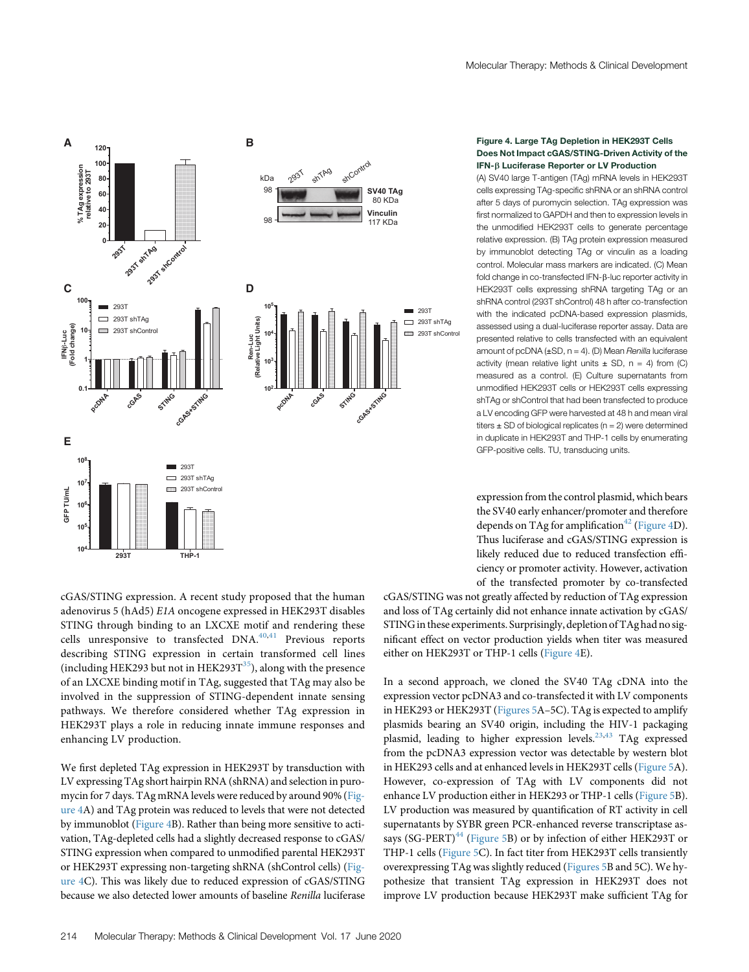<span id="page-5-0"></span>

cGAS/STING expression. A recent study proposed that the human adenovirus 5 (hAd5) E1A oncogene expressed in HEK293T disables STING through binding to an LXCXE motif and rendering these cells unresponsive to transfected DNA.<sup>[40](#page-10-21),[41](#page-10-22)</sup> Previous reports describing STING expression in certain transformed cell lines (including HEK293 but not in HEK293 $T^{35}$  $T^{35}$  $T^{35}$ ), along with the presence of an LXCXE binding motif in TAg, suggested that TAg may also be involved in the suppression of STING-dependent innate sensing pathways. We therefore considered whether TAg expression in HEK293T plays a role in reducing innate immune responses and enhancing LV production.

We first depleted TAg expression in HEK293T by transduction with LV expressing TAg short hairpin RNA (shRNA) and selection in puromycin for 7 days. TAg mRNA levels were reduced by around 90% ([Fig](#page-5-0)[ure 4A](#page-5-0)) and TAg protein was reduced to levels that were not detected by immunoblot [\(Figure 4](#page-5-0)B). Rather than being more sensitive to activation, TAg-depleted cells had a slightly decreased response to cGAS/ STING expression when compared to unmodified parental HEK293T or HEK293T expressing non-targeting shRNA (shControl cells) ([Fig](#page-5-0)[ure 4C](#page-5-0)). This was likely due to reduced expression of cGAS/STING because we also detected lower amounts of baseline Renilla luciferase

#### Figure 4. Large TAg Depletion in HEK293T Cells Does Not Impact cGAS/STING-Driven Activity of the IFN-b Luciferase Reporter or LV Production

(A) SV40 large T-antigen (TAg) mRNA levels in HEK293T cells expressing TAg-specific shRNA or an shRNA control after 5 days of puromycin selection. TAg expression was first normalized to GAPDH and then to expression levels in the unmodified HEK293T cells to generate percentage relative expression. (B) TAg protein expression measured by immunoblot detecting TAg or vinculin as a loading control. Molecular mass markers are indicated. (C) Mean fold change in co-transfected IFN-β-luc reporter activity in HEK293T cells expressing shRNA targeting TAg or an shRNA control (293T shControl) 48 h after co-transfection with the indicated pcDNA-based expression plasmids, assessed using a dual-luciferase reporter assay. Data are presented relative to cells transfected with an equivalent amount of pcDNA  $(\pm SD, n = 4)$ . (D) Mean Renilla luciferase activity (mean relative light units  $\pm$  SD, n = 4) from (C) measured as a control. (E) Culture supernatants from unmodified HEK293T cells or HEK293T cells expressing shTAg or shControl that had been transfected to produce a LV encoding GFP were harvested at 48 h and mean viral titers  $\pm$  SD of biological replicates (n = 2) were determined in duplicate in HEK293T and THP-1 cells by enumerating GFP-positive cells. TU, transducing units.

expression from the control plasmid, which bears the SV40 early enhancer/promoter and therefore depends on TAg for amplification<sup>[42](#page-10-23)</sup> ([Figure 4](#page-5-0)D). Thus luciferase and cGAS/STING expression is likely reduced due to reduced transfection efficiency or promoter activity. However, activation of the transfected promoter by co-transfected

cGAS/STING was not greatly affected by reduction of TAg expression and loss of TAg certainly did not enhance innate activation by cGAS/ STING in these experiments. Surprisingly, depletion of TAg had no significant effect on vector production yields when titer was measured either on HEK293T or THP-1 cells [\(Figure 4](#page-5-0)E).

In a second approach, we cloned the SV40 TAg cDNA into the expression vector pcDNA3 and co-transfected it with LV components in HEK293 or HEK293T ([Figures 5A](#page-6-0)–5C). TAg is expected to amplify plasmids bearing an SV40 origin, including the HIV-1 packaging plasmid, leading to higher expression levels.<sup>23,[43](#page-10-24)</sup> TAg expressed from the pcDNA3 expression vector was detectable by western blot in HEK293 cells and at enhanced levels in HEK293T cells [\(Figure 5A](#page-6-0)). However, co-expression of TAg with LV components did not enhance LV production either in HEK293 or THP-1 cells ([Figure 5B](#page-6-0)). LV production was measured by quantification of RT activity in cell supernatants by SYBR green PCR-enhanced reverse transcriptase as-says (SG-PERT)<sup>[44](#page-10-25)</sup> [\(Figure 5B](#page-6-0)) or by infection of either HEK293T or THP-1 cells [\(Figure 5C](#page-6-0)). In fact titer from HEK293T cells transiently overexpressing TAg was slightly reduced ([Figures 5B](#page-6-0) and 5C). We hypothesize that transient TAg expression in HEK293T does not improve LV production because HEK293T make sufficient TAg for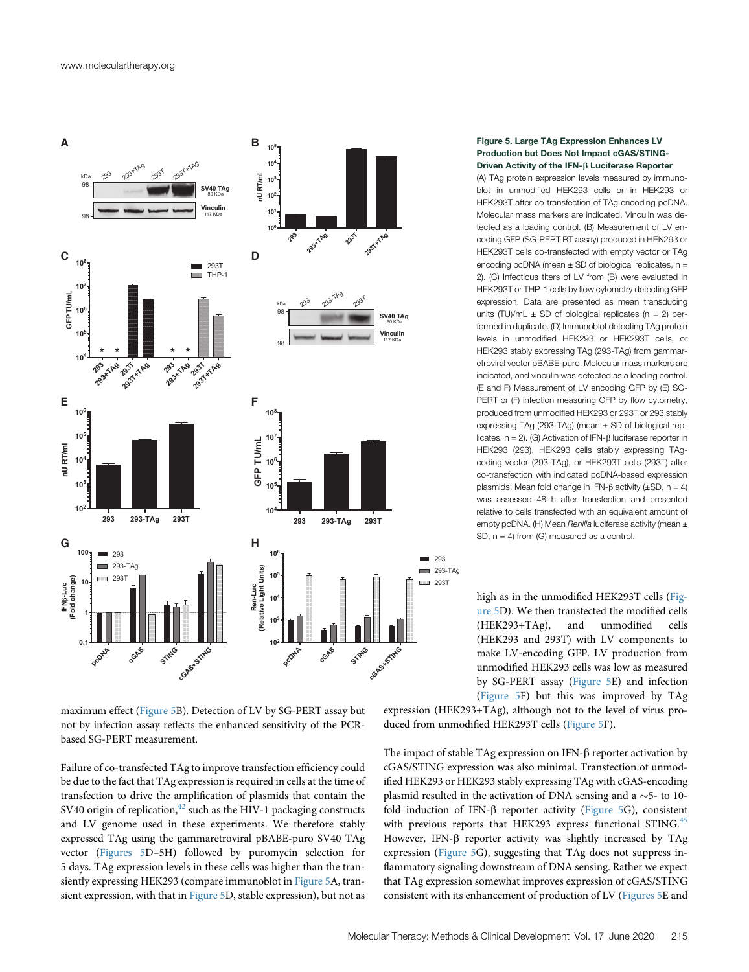<span id="page-6-0"></span>

maximum effect [\(Figure 5B](#page-6-0)). Detection of LV by SG-PERT assay but not by infection assay reflects the enhanced sensitivity of the PCRbased SG-PERT measurement.

Failure of co-transfected TAg to improve transfection efficiency could be due to the fact that TAg expression is required in cells at the time of transfection to drive the amplification of plasmids that contain the SV40 origin of replication, $42$  such as the HIV-1 packaging constructs and LV genome used in these experiments. We therefore stably expressed TAg using the gammaretroviral pBABE-puro SV40 TAg vector [\(Figures 5](#page-6-0)D–5H) followed by puromycin selection for 5 days. TAg expression levels in these cells was higher than the transiently expressing HEK293 (compare immunoblot in [Figure 5](#page-6-0)A, transient expression, with that in [Figure 5](#page-6-0)D, stable expression), but not as

## Figure 5. Large TAg Expression Enhances LV Production but Does Not Impact cGAS/STING-Driven Activity of the IFN- $\beta$  Luciferase Reporter

(A) TAg protein expression levels measured by immunoblot in unmodified HEK293 cells or in HEK293 or HEK293T after co-transfection of TAg encoding pcDNA. Molecular mass markers are indicated. Vinculin was detected as a loading control. (B) Measurement of LV encoding GFP (SG-PERT RT assay) produced in HEK293 or HEK293T cells co-transfected with empty vector or TAg encoding pcDNA (mean  $\pm$  SD of biological replicates, n = 2). (C) Infectious titers of LV from (B) were evaluated in HEK293T or THP-1 cells by flow cytometry detecting GFP expression. Data are presented as mean transducing units (TU)/mL  $\pm$  SD of biological replicates (n = 2) performed in duplicate. (D) Immunoblot detecting TAg protein levels in unmodified HEK293 or HEK293T cells, or HEK293 stably expressing TAg (293-TAg) from gammaretroviral vector pBABE-puro. Molecular mass markers are indicated, and vinculin was detected as a loading control. (E and F) Measurement of LV encoding GFP by (E) SG-PERT or (F) infection measuring GFP by flow cytometry, produced from unmodified HEK293 or 293T or 293 stably expressing TAg (293-TAg) (mean ± SD of biological replicates,  $n = 2$ ). (G) Activation of IFN- $\beta$  luciferase reporter in HEK293 (293), HEK293 cells stably expressing TAgcoding vector (293-TAg), or HEK293T cells (293T) after co-transfection with indicated pcDNA-based expression plasmids. Mean fold change in IFN- $\beta$  activity ( $\pm$ SD, n = 4) was assessed 48 h after transfection and presented relative to cells transfected with an equivalent amount of empty pcDNA. (H) Mean Renilla luciferase activity (mean  $\pm$ SD, n = 4) from (G) measured as a control.

high as in the unmodified HEK293T cells ([Fig](#page-6-0)[ure 5](#page-6-0)D). We then transfected the modified cells (HEK293+TAg), and unmodified cells (HEK293 and 293T) with LV components to make LV-encoding GFP. LV production from unmodified HEK293 cells was low as measured by SG-PERT assay [\(Figure 5E](#page-6-0)) and infection [\(Figure 5](#page-6-0)F) but this was improved by TAg

expression (HEK293+TAg), although not to the level of virus produced from unmodified HEK293T cells ([Figure 5](#page-6-0)F).

The impact of stable TAg expression on IFN- $\beta$  reporter activation by cGAS/STING expression was also minimal. Transfection of unmodified HEK293 or HEK293 stably expressing TAg with cGAS-encoding plasmid resulted in the activation of DNA sensing and a  $\sim$  5- to 10fold induction of IFN- $\beta$  reporter activity ([Figure 5](#page-6-0)G), consistent with previous reports that HEK293 express functional STING.<sup>[45](#page-10-26)</sup> However, IFN- $\beta$  reporter activity was slightly increased by TAg expression [\(Figure 5](#page-6-0)G), suggesting that TAg does not suppress inflammatory signaling downstream of DNA sensing. Rather we expect that TAg expression somewhat improves expression of cGAS/STING consistent with its enhancement of production of LV [\(Figures 5E](#page-6-0) and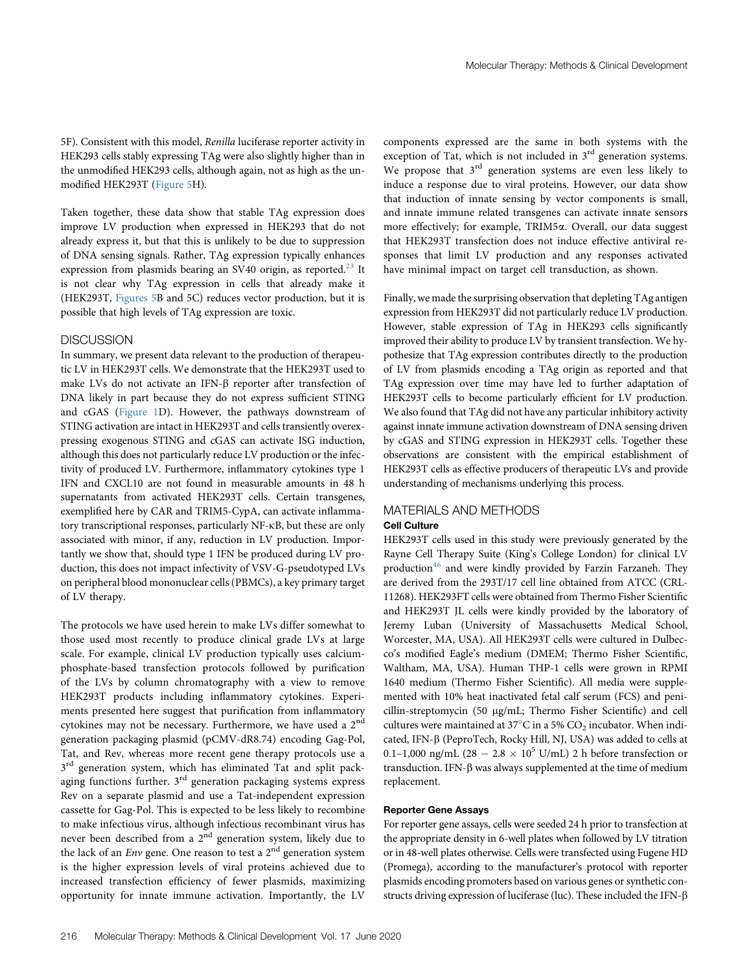5F). Consistent with this model, Renilla luciferase reporter activity in HEK293 cells stably expressing TAg were also slightly higher than in the unmodified HEK293 cells, although again, not as high as the unmodified HEK293T [\(Figure 5H](#page-6-0)).

Taken together, these data show that stable TAg expression does improve LV production when expressed in HEK293 that do not already express it, but that this is unlikely to be due to suppression of DNA sensing signals. Rather, TAg expression typically enhances expression from plasmids bearing an SV40 origin, as reported. $^{23}$  $^{23}$  $^{23}$  It is not clear why TAg expression in cells that already make it (HEK293T, [Figures 5](#page-6-0)B and 5C) reduces vector production, but it is possible that high levels of TAg expression are toxic.

## **DISCUSSION**

In summary, we present data relevant to the production of therapeutic LV in HEK293T cells. We demonstrate that the HEK293T used to make LVs do not activate an IFN- $\beta$  reporter after transfection of DNA likely in part because they do not express sufficient STING and cGAS ([Figure 1D](#page-2-0)). However, the pathways downstream of STING activation are intact in HEK293T and cells transiently overexpressing exogenous STING and cGAS can activate ISG induction, although this does not particularly reduce LV production or the infectivity of produced LV. Furthermore, inflammatory cytokines type 1 IFN and CXCL10 are not found in measurable amounts in 48 h supernatants from activated HEK293T cells. Certain transgenes, exemplified here by CAR and TRIM5-CypA, can activate inflammatory transcriptional responses, particularly NF-kB, but these are only associated with minor, if any, reduction in LV production. Importantly we show that, should type 1 IFN be produced during LV production, this does not impact infectivity of VSV-G-pseudotyped LVs on peripheral blood mononuclear cells (PBMCs), a key primary target of LV therapy.

The protocols we have used herein to make LVs differ somewhat to those used most recently to produce clinical grade LVs at large scale. For example, clinical LV production typically uses calciumphosphate-based transfection protocols followed by purification of the LVs by column chromatography with a view to remove HEK293T products including inflammatory cytokines. Experiments presented here suggest that purification from inflammatory cytokines may not be necessary. Furthermore, we have used a 2nd generation packaging plasmid (pCMV-dR8.74) encoding Gag-Pol, Tat, and Rev, whereas more recent gene therapy protocols use a  $3<sup>rd</sup>$  generation system, which has eliminated Tat and split packaging functions further.  $3<sup>rd</sup>$  generation packaging systems express Rev on a separate plasmid and use a Tat-independent expression cassette for Gag-Pol. This is expected to be less likely to recombine to make infectious virus, although infectious recombinant virus has never been described from a 2<sup>nd</sup> generation system, likely due to the lack of an  $Env$  gene. One reason to test a  $2<sup>nd</sup>$  generation system is the higher expression levels of viral proteins achieved due to increased transfection efficiency of fewer plasmids, maximizing opportunity for innate immune activation. Importantly, the LV

components expressed are the same in both systems with the exception of Tat, which is not included in  $3<sup>rd</sup>$  generation systems. We propose that 3<sup>rd</sup> generation systems are even less likely to induce a response due to viral proteins. However, our data show that induction of innate sensing by vector components is small, and innate immune related transgenes can activate innate sensors more effectively; for example, TRIM5a. Overall, our data suggest that HEK293T transfection does not induce effective antiviral responses that limit LV production and any responses activated have minimal impact on target cell transduction, as shown.

Finally, we made the surprising observation that depleting TAg antigen expression from HEK293T did not particularly reduce LV production. However, stable expression of TAg in HEK293 cells significantly improved their ability to produce LV by transient transfection. We hypothesize that TAg expression contributes directly to the production of LV from plasmids encoding a TAg origin as reported and that TAg expression over time may have led to further adaptation of HEK293T cells to become particularly efficient for LV production. We also found that TAg did not have any particular inhibitory activity against innate immune activation downstream of DNA sensing driven by cGAS and STING expression in HEK293T cells. Together these observations are consistent with the empirical establishment of HEK293T cells as effective producers of therapeutic LVs and provide understanding of mechanisms underlying this process.

# MATERIALS AND METHODS

# Cell Culture

HEK293T cells used in this study were previously generated by the Rayne Cell Therapy Suite (King's College London) for clinical LV production<sup>[46](#page-10-27)</sup> and were kindly provided by Farzin Farzaneh. They are derived from the 293T/17 cell line obtained from ATCC (CRL-11268). HEK293FT cells were obtained from Thermo Fisher Scientific and HEK293T JL cells were kindly provided by the laboratory of Jeremy Luban (University of Massachusetts Medical School, Worcester, MA, USA). All HEK293T cells were cultured in Dulbecco's modified Eagle's medium (DMEM; Thermo Fisher Scientific, Waltham, MA, USA). Human THP-1 cells were grown in RPMI 1640 medium (Thermo Fisher Scientific). All media were supplemented with 10% heat inactivated fetal calf serum (FCS) and penicillin-streptomycin (50 mg/mL; Thermo Fisher Scientific) and cell cultures were maintained at 37 $\mathrm{^{\circ}C}$  in a 5%  $\mathrm{CO}_2$  incubator. When indicated, IFN-b (PeproTech, Rocky Hill, NJ, USA) was added to cells at 0.1–1,000 ng/mL (28 - 2.8  $\times$  10<sup>5</sup> U/mL) 2 h before transfection or transduction. IFN- $\beta$  was always supplemented at the time of medium replacement.

# Reporter Gene Assays

For reporter gene assays, cells were seeded 24 h prior to transfection at the appropriate density in 6-well plates when followed by LV titration or in 48-well plates otherwise. Cells were transfected using Fugene HD (Promega), according to the manufacturer's protocol with reporter plasmids encoding promoters based on various genes or synthetic constructs driving expression of luciferase (luc). These included the IFN- $\beta$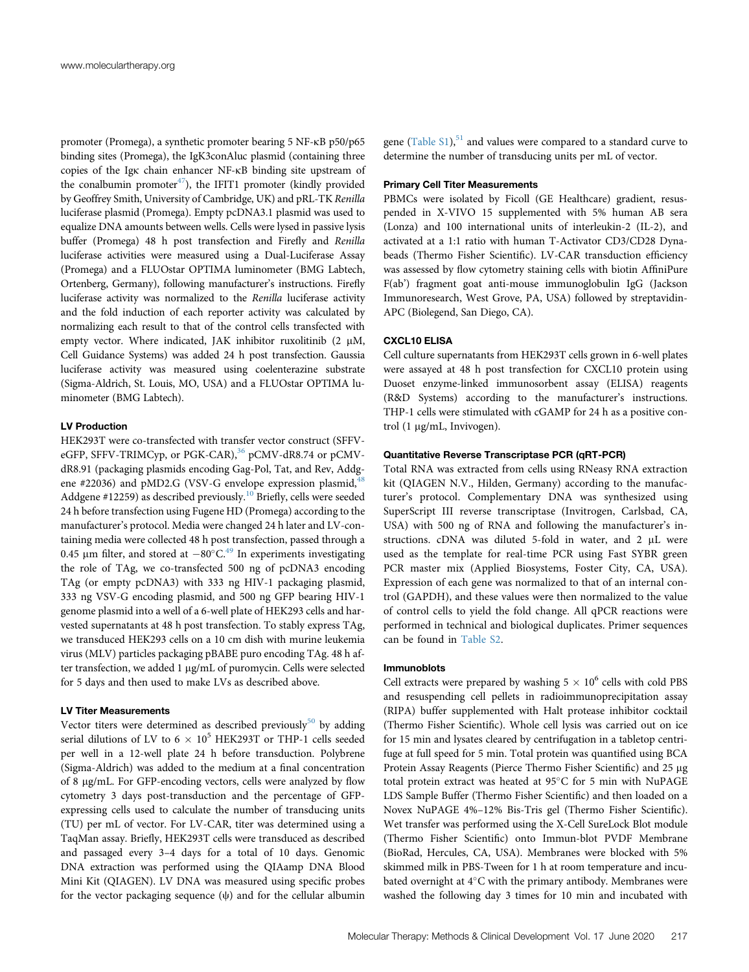promoter (Promega), a synthetic promoter bearing 5 NF-kB p50/p65 binding sites (Promega), the IgK3conAluc plasmid (containing three copies of the Igk chain enhancer NF-kB binding site upstream of the conalbumin promoter<sup>47</sup>), the IFIT1 promoter (kindly provided by Geoffrey Smith, University of Cambridge, UK) and pRL-TK Renilla luciferase plasmid (Promega). Empty pcDNA3.1 plasmid was used to equalize DNA amounts between wells. Cells were lysed in passive lysis buffer (Promega) 48 h post transfection and Firefly and Renilla luciferase activities were measured using a Dual-Luciferase Assay (Promega) and a FLUOstar OPTIMA luminometer (BMG Labtech, Ortenberg, Germany), following manufacturer's instructions. Firefly luciferase activity was normalized to the Renilla luciferase activity and the fold induction of each reporter activity was calculated by normalizing each result to that of the control cells transfected with empty vector. Where indicated, JAK inhibitor ruxolitinib (2  $\mu$ M, Cell Guidance Systems) was added 24 h post transfection. Gaussia luciferase activity was measured using coelenterazine substrate (Sigma-Aldrich, St. Louis, MO, USA) and a FLUOstar OPTIMA luminometer (BMG Labtech).

# LV Production

HEK293T were co-transfected with transfer vector construct (SFFV-eGFP, SFFV-TRIMCyp, or PGK-CAR),<sup>[36](#page-10-15)</sup> pCMV-dR8.74 or pCMVdR8.91 (packaging plasmids encoding Gag-Pol, Tat, and Rev, Addgene #22036) and pMD2.G (VSV-G envelope expression plasmid, $48$ Addgene #12259) as described previously.<sup>[10](#page-9-5)</sup> Briefly, cells were seeded 24 h before transfection using Fugene HD (Promega) according to the manufacturer's protocol. Media were changed 24 h later and LV-containing media were collected 48 h post transfection, passed through a 0.45 µm filter, and stored at  $-80^{\circ}$ C.<sup>[49](#page-10-30)</sup> In experiments investigating the role of TAg, we co-transfected 500 ng of pcDNA3 encoding TAg (or empty pcDNA3) with 333 ng HIV-1 packaging plasmid, 333 ng VSV-G encoding plasmid, and 500 ng GFP bearing HIV-1 genome plasmid into a well of a 6-well plate of HEK293 cells and harvested supernatants at 48 h post transfection. To stably express TAg, we transduced HEK293 cells on a 10 cm dish with murine leukemia virus (MLV) particles packaging pBABE puro encoding TAg. 48 h after transfection, we added 1 µg/mL of puromycin. Cells were selected for 5 days and then used to make LVs as described above.

# LV Titer Measurements

Vector titers were determined as described previously $50$  by adding serial dilutions of LV to 6  $\times$  10<sup>5</sup> HEK293T or THP-1 cells seeded per well in a 12-well plate 24 h before transduction. Polybrene (Sigma-Aldrich) was added to the medium at a final concentration of 8 mg/mL. For GFP-encoding vectors, cells were analyzed by flow cytometry 3 days post-transduction and the percentage of GFPexpressing cells used to calculate the number of transducing units (TU) per mL of vector. For LV-CAR, titer was determined using a TaqMan assay. Briefly, HEK293T cells were transduced as described and passaged every 3–4 days for a total of 10 days. Genomic DNA extraction was performed using the QIAamp DNA Blood Mini Kit (QIAGEN). LV DNA was measured using specific probes for the vector packaging sequence  $(\psi)$  and for the cellular albumin

gene  $(Table S1)$  $(Table S1)$ ,  $51$  and values were compared to a standard curve to determine the number of transducing units per mL of vector.

## Primary Cell Titer Measurements

PBMCs were isolated by Ficoll (GE Healthcare) gradient, resuspended in X-VIVO 15 supplemented with 5% human AB sera (Lonza) and 100 international units of interleukin-2 (IL-2), and activated at a 1:1 ratio with human T-Activator CD3/CD28 Dynabeads (Thermo Fisher Scientific). LV-CAR transduction efficiency was assessed by flow cytometry staining cells with biotin AffiniPure F(ab') fragment goat anti-mouse immunoglobulin IgG (Jackson Immunoresearch, West Grove, PA, USA) followed by streptavidin-APC (Biolegend, San Diego, CA).

## CXCL10 ELISA

Cell culture supernatants from HEK293T cells grown in 6-well plates were assayed at 48 h post transfection for CXCL10 protein using Duoset enzyme-linked immunosorbent assay (ELISA) reagents (R&D Systems) according to the manufacturer's instructions. THP-1 cells were stimulated with cGAMP for 24 h as a positive control (1 μg/mL, Invivogen).

# Quantitative Reverse Transcriptase PCR (qRT-PCR)

Total RNA was extracted from cells using RNeasy RNA extraction kit (QIAGEN N.V., Hilden, Germany) according to the manufacturer's protocol. Complementary DNA was synthesized using SuperScript III reverse transcriptase (Invitrogen, Carlsbad, CA, USA) with 500 ng of RNA and following the manufacturer's instructions.  $cDNA$  was diluted 5-fold in water, and  $2 \mu L$  were used as the template for real-time PCR using Fast SYBR green PCR master mix (Applied Biosystems, Foster City, CA, USA). Expression of each gene was normalized to that of an internal control (GAPDH), and these values were then normalized to the value of control cells to yield the fold change. All qPCR reactions were performed in technical and biological duplicates. Primer sequences can be found in [Table S2](#page-9-7).

# Immunoblots

Cell extracts were prepared by washing  $5 \times 10^6$  cells with cold PBS and resuspending cell pellets in radioimmunoprecipitation assay (RIPA) buffer supplemented with Halt protease inhibitor cocktail (Thermo Fisher Scientific). Whole cell lysis was carried out on ice for 15 min and lysates cleared by centrifugation in a tabletop centrifuge at full speed for 5 min. Total protein was quantified using BCA Protein Assay Reagents (Pierce Thermo Fisher Scientific) and 25 µg total protein extract was heated at 95°C for 5 min with NuPAGE LDS Sample Buffer (Thermo Fisher Scientific) and then loaded on a Novex NuPAGE 4%–12% Bis-Tris gel (Thermo Fisher Scientific). Wet transfer was performed using the X-Cell SureLock Blot module (Thermo Fisher Scientific) onto Immun-blot PVDF Membrane (BioRad, Hercules, CA, USA). Membranes were blocked with 5% skimmed milk in PBS-Tween for 1 h at room temperature and incubated overnight at  $4^{\circ}$ C with the primary antibody. Membranes were washed the following day 3 times for 10 min and incubated with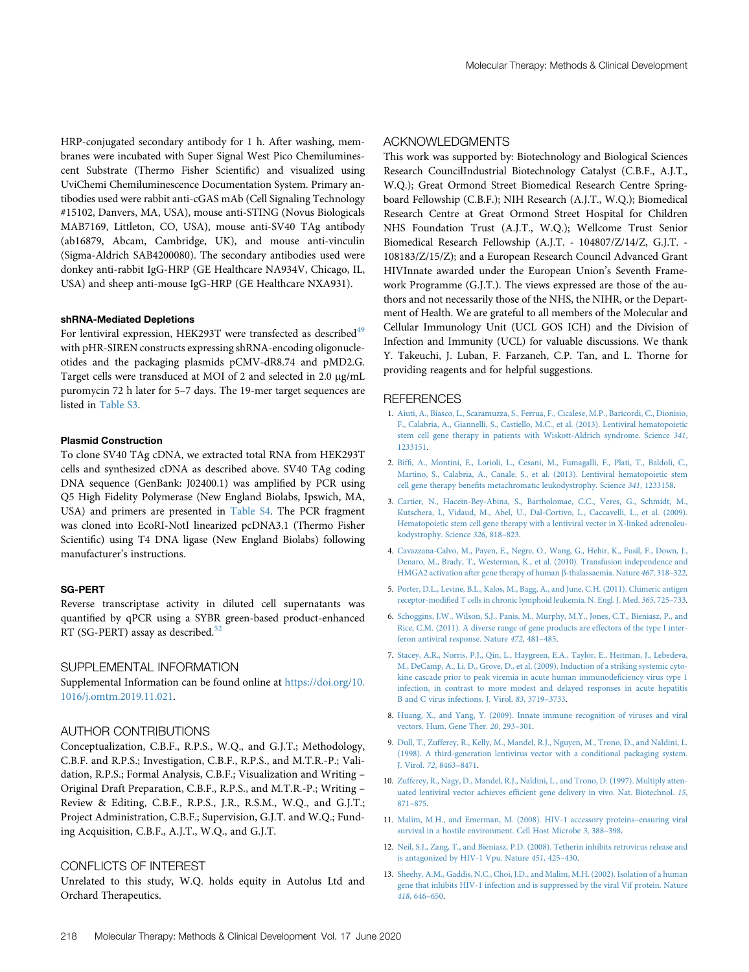HRP-conjugated secondary antibody for 1 h. After washing, membranes were incubated with Super Signal West Pico Chemiluminescent Substrate (Thermo Fisher Scientific) and visualized using UviChemi Chemiluminescence Documentation System. Primary antibodies used were rabbit anti-cGAS mAb (Cell Signaling Technology #15102, Danvers, MA, USA), mouse anti-STING (Novus Biologicals MAB7169, Littleton, CO, USA), mouse anti-SV40 TAg antibody (ab16879, Abcam, Cambridge, UK), and mouse anti-vinculin (Sigma-Aldrich SAB4200080). The secondary antibodies used were donkey anti-rabbit IgG-HRP (GE Healthcare NA934V, Chicago, IL, USA) and sheep anti-mouse IgG-HRP (GE Healthcare NXA931).

#### shRNA-Mediated Depletions

For lentiviral expression, HEK293T were transfected as described<sup>[49](#page-10-30)</sup> with pHR-SIREN constructs expressing shRNA-encoding oligonucleotides and the packaging plasmids pCMV-dR8.74 and pMD2.G. Target cells were transduced at MOI of 2 and selected in 2.0 µg/mL puromycin 72 h later for 5–7 days. The 19-mer target sequences are listed in [Table S3.](#page-9-7)

## Plasmid Construction

To clone SV40 TAg cDNA, we extracted total RNA from HEK293T cells and synthesized cDNA as described above. SV40 TAg coding DNA sequence (GenBank: J02400.1) was amplified by PCR using Q5 High Fidelity Polymerase (New England Biolabs, Ipswich, MA, USA) and primers are presented in [Table S4.](#page-9-7) The PCR fragment was cloned into EcoRI-NotI linearized pcDNA3.1 (Thermo Fisher Scientific) using T4 DNA ligase (New England Biolabs) following manufacturer's instructions.

## SG-PERT

Reverse transcriptase activity in diluted cell supernatants was quantified by qPCR using a SYBR green-based product-enhanced RT (SG-PERT) assay as described.<sup>[52](#page-10-33)</sup>

## <span id="page-9-7"></span>SUPPLEMENTAL INFORMATION

Supplemental Information can be found online at [https://doi.org/10.](https://doi.org/10.1016/j.omtm.2019.11.021) [1016/j.omtm.2019.11.021](https://doi.org/10.1016/j.omtm.2019.11.021).

# AUTHOR CONTRIBUTIONS

Conceptualization, C.B.F., R.P.S., W.Q., and G.J.T.; Methodology, C.B.F. and R.P.S.; Investigation, C.B.F., R.P.S., and M.T.R.-P.; Validation, R.P.S.; Formal Analysis, C.B.F.; Visualization and Writing – Original Draft Preparation, C.B.F., R.P.S., and M.T.R.-P.; Writing – Review & Editing, C.B.F., R.P.S., J.R., R.S.M., W.Q., and G.J.T.; Project Administration, C.B.F.; Supervision, G.J.T. and W.Q.; Funding Acquisition, C.B.F., A.J.T., W.Q., and G.J.T.

# CONFLICTS OF INTEREST

Unrelated to this study, W.Q. holds equity in Autolus Ltd and Orchard Therapeutics.

# ACKNOWLEDGMENTS

This work was supported by: Biotechnology and Biological Sciences Research CouncilIndustrial Biotechnology Catalyst (C.B.F., A.J.T., W.Q.); Great Ormond Street Biomedical Research Centre Springboard Fellowship (C.B.F.); NIH Research (A.J.T., W.Q.); Biomedical Research Centre at Great Ormond Street Hospital for Children NHS Foundation Trust (A.J.T., W.Q.); Wellcome Trust Senior Biomedical Research Fellowship (A.J.T. - 104807/Z/14/Z, G.J.T. - 108183/Z/15/Z); and a European Research Council Advanced Grant HIVInnate awarded under the European Union's Seventh Framework Programme (G.J.T.). The views expressed are those of the authors and not necessarily those of the NHS, the NIHR, or the Department of Health. We are grateful to all members of the Molecular and Cellular Immunology Unit (UCL GOS ICH) and the Division of Infection and Immunity (UCL) for valuable discussions. We thank Y. Takeuchi, J. Luban, F. Farzaneh, C.P. Tan, and L. Thorne for providing reagents and for helpful suggestions.

## **REFERENCES**

- <span id="page-9-0"></span>1. [Aiuti, A., Biasco, L., Scaramuzza, S., Ferrua, F., Cicalese, M.P., Baricordi, C., Dionisio,](http://refhub.elsevier.com/S2329-0501(19)30151-2/sref1) [F., Calabria, A., Giannelli, S., Castiello, M.C., et al. \(2013\). Lentiviral hematopoietic](http://refhub.elsevier.com/S2329-0501(19)30151-2/sref1) [stem cell gene therapy in patients with Wiskott-Aldrich syndrome. Science](http://refhub.elsevier.com/S2329-0501(19)30151-2/sref1) 341, [1233151.](http://refhub.elsevier.com/S2329-0501(19)30151-2/sref1)
- 2. Biffi[, A., Montini, E., Lorioli, L., Cesani, M., Fumagalli, F., Plati, T., Baldoli, C.,](http://refhub.elsevier.com/S2329-0501(19)30151-2/sref2) [Martino, S., Calabria, A., Canale, S., et al. \(2013\). Lentiviral hematopoietic stem](http://refhub.elsevier.com/S2329-0501(19)30151-2/sref2) cell gene therapy benefi[ts metachromatic leukodystrophy. Science](http://refhub.elsevier.com/S2329-0501(19)30151-2/sref2) 341, 1233158.
- 3. [Cartier, N., Hacein-Bey-Abina, S., Bartholomae, C.C., Veres, G., Schmidt, M.,](http://refhub.elsevier.com/S2329-0501(19)30151-2/sref3) [Kutschera, I., Vidaud, M., Abel, U., Dal-Cortivo, L., Caccavelli, L., et al. \(2009\).](http://refhub.elsevier.com/S2329-0501(19)30151-2/sref3) [Hematopoietic stem cell gene therapy with a lentiviral vector in X-linked adrenoleu](http://refhub.elsevier.com/S2329-0501(19)30151-2/sref3)[kodystrophy. Science](http://refhub.elsevier.com/S2329-0501(19)30151-2/sref3) 326, 818–823.
- 4. [Cavazzana-Calvo, M., Payen, E., Negre, O., Wang, G., Hehir, K., Fusil, F., Down, J.,](http://refhub.elsevier.com/S2329-0501(19)30151-2/sref4) [Denaro, M., Brady, T., Westerman, K., et al. \(2010\). Transfusion independence and](http://refhub.elsevier.com/S2329-0501(19)30151-2/sref4) [HMGA2 activation after gene therapy of human](http://refhub.elsevier.com/S2329-0501(19)30151-2/sref4)  $\beta$ -thalassaemia. Nature 467, 318–322.
- 5. [Porter, D.L., Levine, B.L., Kalos, M., Bagg, A., and June, C.H. \(2011\). Chimeric antigen](http://refhub.elsevier.com/S2329-0501(19)30151-2/sref5) receptor-modifi[ed T cells in chronic lymphoid leukemia. N. Engl. J. Med.](http://refhub.elsevier.com/S2329-0501(19)30151-2/sref5) 365, 725–733.
- <span id="page-9-1"></span>6. [Schoggins, J.W., Wilson, S.J., Panis, M., Murphy, M.Y., Jones, C.T., Bieniasz, P., and](http://refhub.elsevier.com/S2329-0501(19)30151-2/sref6) [Rice, C.M. \(2011\). A diverse range of gene products are effectors of the type I inter](http://refhub.elsevier.com/S2329-0501(19)30151-2/sref6)[feron antiviral response. Nature](http://refhub.elsevier.com/S2329-0501(19)30151-2/sref6) 472, 481–485.
- <span id="page-9-2"></span>7. [Stacey, A.R., Norris, P.J., Qin, L., Haygreen, E.A., Taylor, E., Heitman, J., Lebedeva,](http://refhub.elsevier.com/S2329-0501(19)30151-2/sref7) [M., DeCamp, A., Li, D., Grove, D., et al. \(2009\). Induction of a striking systemic cyto](http://refhub.elsevier.com/S2329-0501(19)30151-2/sref7)[kine cascade prior to peak viremia in acute human immunode](http://refhub.elsevier.com/S2329-0501(19)30151-2/sref7)ficiency virus type 1 [infection, in contrast to more modest and delayed responses in acute hepatitis](http://refhub.elsevier.com/S2329-0501(19)30151-2/sref7) [B and C virus infections. J. Virol.](http://refhub.elsevier.com/S2329-0501(19)30151-2/sref7) 83, 3719–3733.
- <span id="page-9-4"></span><span id="page-9-3"></span>8. [Huang, X., and Yang, Y. \(2009\). Innate immune recognition of viruses and viral](http://refhub.elsevier.com/S2329-0501(19)30151-2/sref8) [vectors. Hum. Gene Ther.](http://refhub.elsevier.com/S2329-0501(19)30151-2/sref8) 20, 293–301.
- 9. [Dull, T., Zufferey, R., Kelly, M., Mandel, R.J., Nguyen, M., Trono, D., and Naldini, L.](http://refhub.elsevier.com/S2329-0501(19)30151-2/sref9) [\(1998\). A third-generation lentivirus vector with a conditional packaging system.](http://refhub.elsevier.com/S2329-0501(19)30151-2/sref9) [J. Virol.](http://refhub.elsevier.com/S2329-0501(19)30151-2/sref9) 72, 8463–8471.
- <span id="page-9-5"></span>10. [Zufferey, R., Nagy, D., Mandel, R.J., Naldini, L., and Trono, D. \(1997\). Multiply atten](http://refhub.elsevier.com/S2329-0501(19)30151-2/sref10)uated lentiviral vector achieves effi[cient gene delivery in vivo. Nat. Biotechnol.](http://refhub.elsevier.com/S2329-0501(19)30151-2/sref10) 15, 871–[875.](http://refhub.elsevier.com/S2329-0501(19)30151-2/sref10)
- <span id="page-9-6"></span>11. [Malim, M.H., and Emerman, M. \(2008\). HIV-1 accessory proteins](http://refhub.elsevier.com/S2329-0501(19)30151-2/sref11)–ensuring viral [survival in a hostile environment. Cell Host Microbe](http://refhub.elsevier.com/S2329-0501(19)30151-2/sref11) 3, 388–398.
- 12. [Neil, S.J., Zang, T., and Bieniasz, P.D. \(2008\). Tetherin inhibits retrovirus release and](http://refhub.elsevier.com/S2329-0501(19)30151-2/sref12) [is antagonized by HIV-1 Vpu. Nature](http://refhub.elsevier.com/S2329-0501(19)30151-2/sref12) 451, 425–430.
- 13. [Sheehy, A.M., Gaddis, N.C., Choi, J.D., and Malim, M.H. \(2002\). Isolation of a human](http://refhub.elsevier.com/S2329-0501(19)30151-2/sref13) [gene that inhibits HIV-1 infection and is suppressed by the viral Vif protein. Nature](http://refhub.elsevier.com/S2329-0501(19)30151-2/sref13) 418[, 646](http://refhub.elsevier.com/S2329-0501(19)30151-2/sref13)–650.